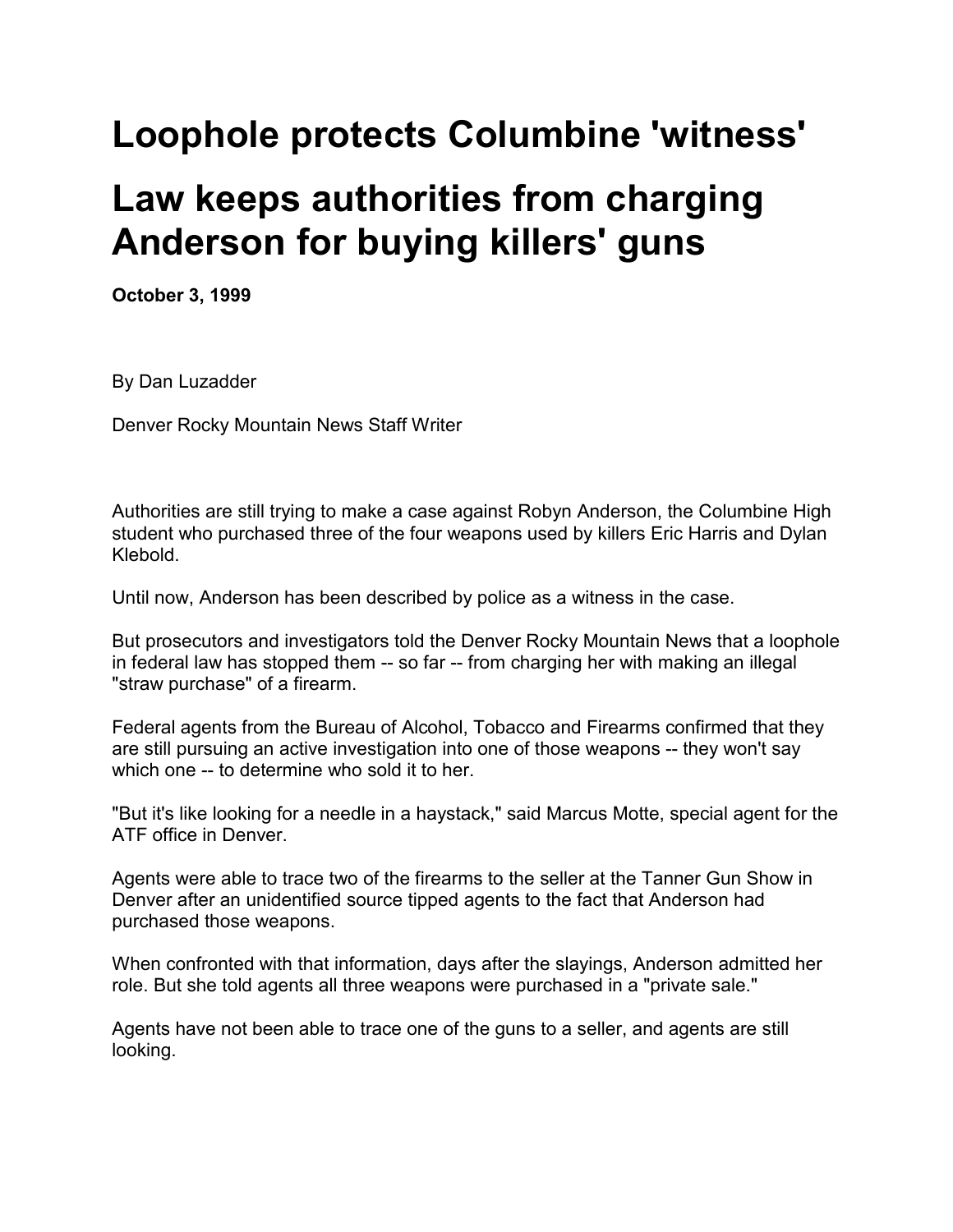## **Loophole protects Columbine 'witness'**

## **Law keeps authorities from charging Anderson for buying killers' guns**

**October 3, 1999**

By Dan Luzadder

Denver Rocky Mountain News Staff Writer

Authorities are still trying to make a case against Robyn Anderson, the Columbine High student who purchased three of the four weapons used by killers Eric Harris and Dylan Klebold.

Until now, Anderson has been described by police as a witness in the case.

But prosecutors and investigators told the Denver Rocky Mountain News that a loophole in federal law has stopped them -- so far -- from charging her with making an illegal "straw purchase" of a firearm.

Federal agents from the Bureau of Alcohol, Tobacco and Firearms confirmed that they are still pursuing an active investigation into one of those weapons -- they won't say which one -- to determine who sold it to her.

"But it's like looking for a needle in a haystack," said Marcus Motte, special agent for the ATF office in Denver.

Agents were able to trace two of the firearms to the seller at the Tanner Gun Show in Denver after an unidentified source tipped agents to the fact that Anderson had purchased those weapons.

When confronted with that information, days after the slayings, Anderson admitted her role. But she told agents all three weapons were purchased in a "private sale."

Agents have not been able to trace one of the guns to a seller, and agents are still looking.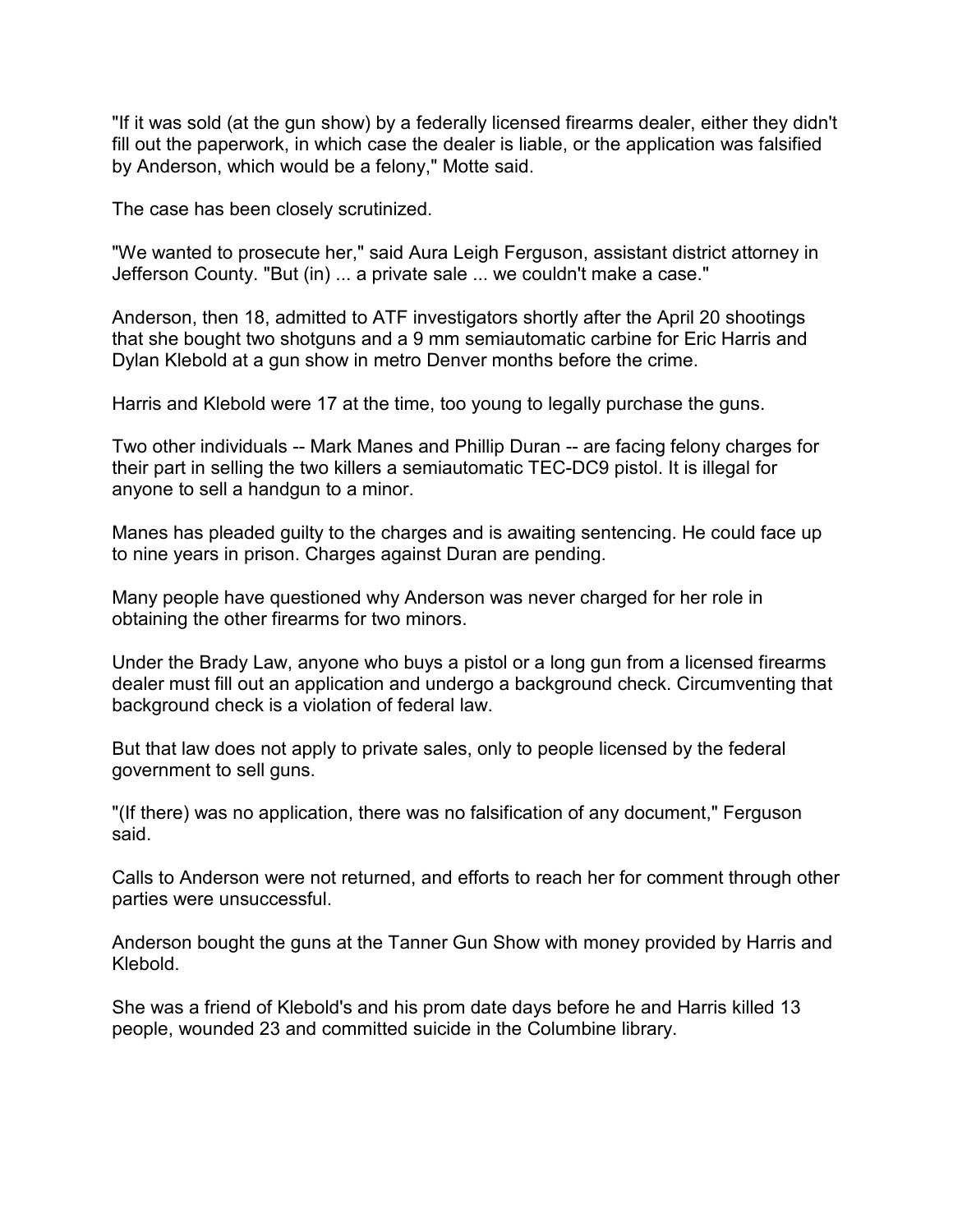"If it was sold (at the gun show) by a federally licensed firearms dealer, either they didn't fill out the paperwork, in which case the dealer is liable, or the application was falsified by Anderson, which would be a felony," Motte said.

The case has been closely scrutinized.

"We wanted to prosecute her," said Aura Leigh Ferguson, assistant district attorney in Jefferson County. "But (in) ... a private sale ... we couldn't make a case."

Anderson, then 18, admitted to ATF investigators shortly after the April 20 shootings that she bought two shotguns and a 9 mm semiautomatic carbine for Eric Harris and Dylan Klebold at a gun show in metro Denver months before the crime.

Harris and Klebold were 17 at the time, too young to legally purchase the guns.

Two other individuals -- Mark Manes and Phillip Duran -- are facing felony charges for their part in selling the two killers a semiautomatic TEC-DC9 pistol. It is illegal for anyone to sell a handgun to a minor.

Manes has pleaded guilty to the charges and is awaiting sentencing. He could face up to nine years in prison. Charges against Duran are pending.

Many people have questioned why Anderson was never charged for her role in obtaining the other firearms for two minors.

Under the Brady Law, anyone who buys a pistol or a long gun from a licensed firearms dealer must fill out an application and undergo a background check. Circumventing that background check is a violation of federal law.

But that law does not apply to private sales, only to people licensed by the federal government to sell guns.

"(If there) was no application, there was no falsification of any document," Ferguson said.

Calls to Anderson were not returned, and efforts to reach her for comment through other parties were unsuccessful.

Anderson bought the guns at the Tanner Gun Show with money provided by Harris and Klebold.

She was a friend of Klebold's and his prom date days before he and Harris killed 13 people, wounded 23 and committed suicide in the Columbine library.